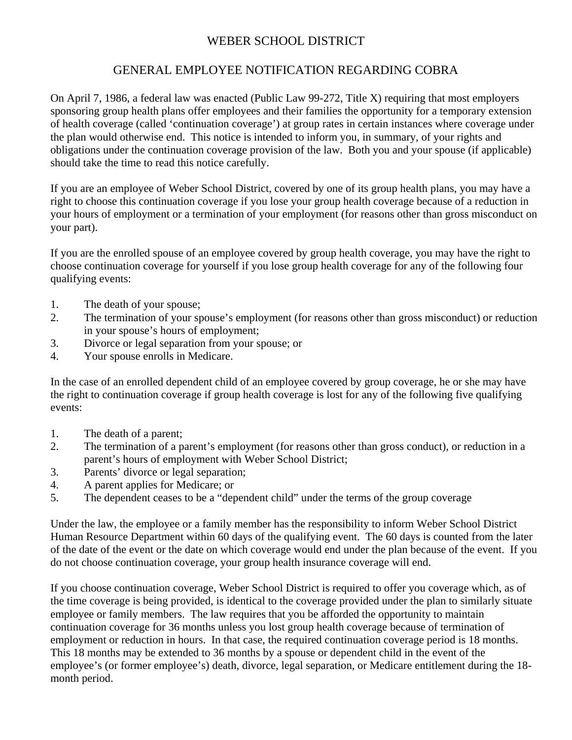## WEBER SCHOOL DISTRICT

## GENERAL EMPLOYEE NOTIFICATION REGARDING COBRA

On April 7, 1986, a federal law was enacted (Public Law 99-272, Title X) requiring that most employers sponsoring group health plans offer employees and their families the opportunity for a temporary extension of health coverage (called 'continuation coverage') at group rates in certain instances where coverage under the plan would otherwise end. This notice is intended to inform you, in summary, of your rights and obligations under the continuation coverage provision of the law. Both you and your spouse (if applicable) should take the time to read this notice carefully.

If you are an employee of Weber School District, covered by one of its group health plans, you may have a right to choose this continuation coverage if you lose your group health coverage because of a reduction in your hours of employment or a termination of your employment (for reasons other than gross misconduct on your part).

If you are the enrolled spouse of an employee covered by group health coverage, you may have the right to choose continuation coverage for yourself if you lose group health coverage for any of the following four qualifying events:

- 1. The death of your spouse;
- 2. The termination of your spouse's employment (for reasons other than gross misconduct) or reduction in your spouse's hours of employment;
- 3. Divorce or legal separation from your spouse; or
- 4. Your spouse enrolls in Medicare.

In the case of an enrolled dependent child of an employee covered by group coverage, he or she may have the right to continuation coverage if group health coverage is lost for any of the following five qualifying events:

- 1. The death of a parent;
- 2. The termination of a parent's employment (for reasons other than gross conduct), or reduction in a parent's hours of employment with Weber School District;
- 3. Parents' divorce or legal separation;
- 4. A parent applies for Medicare; or
- 5. The dependent ceases to be a "dependent child" under the terms of the group coverage

Under the law, the employee or a family member has the responsibility to inform Weber School District Human Resource Department within 60 days of the qualifying event. The 60 days is counted from the later of the date of the event or the date on which coverage would end under the plan because of the event. If you do not choose continuation coverage, your group health insurance coverage will end.

If you choose continuation coverage, Weber School District is required to offer you coverage which, as of the time coverage is being provided, is identical to the coverage provided under the plan to similarly situate employee or family members. The law requires that you be afforded the opportunity to maintain continuation coverage for 36 months unless you lost group health coverage because of termination of employment or reduction in hours. In that case, the required continuation coverage period is 18 months. This 18 months may be extended to 36 months by a spouse or dependent child in the event of the employee's (or former employee's) death, divorce, legal separation, or Medicare entitlement during the 18 month period.